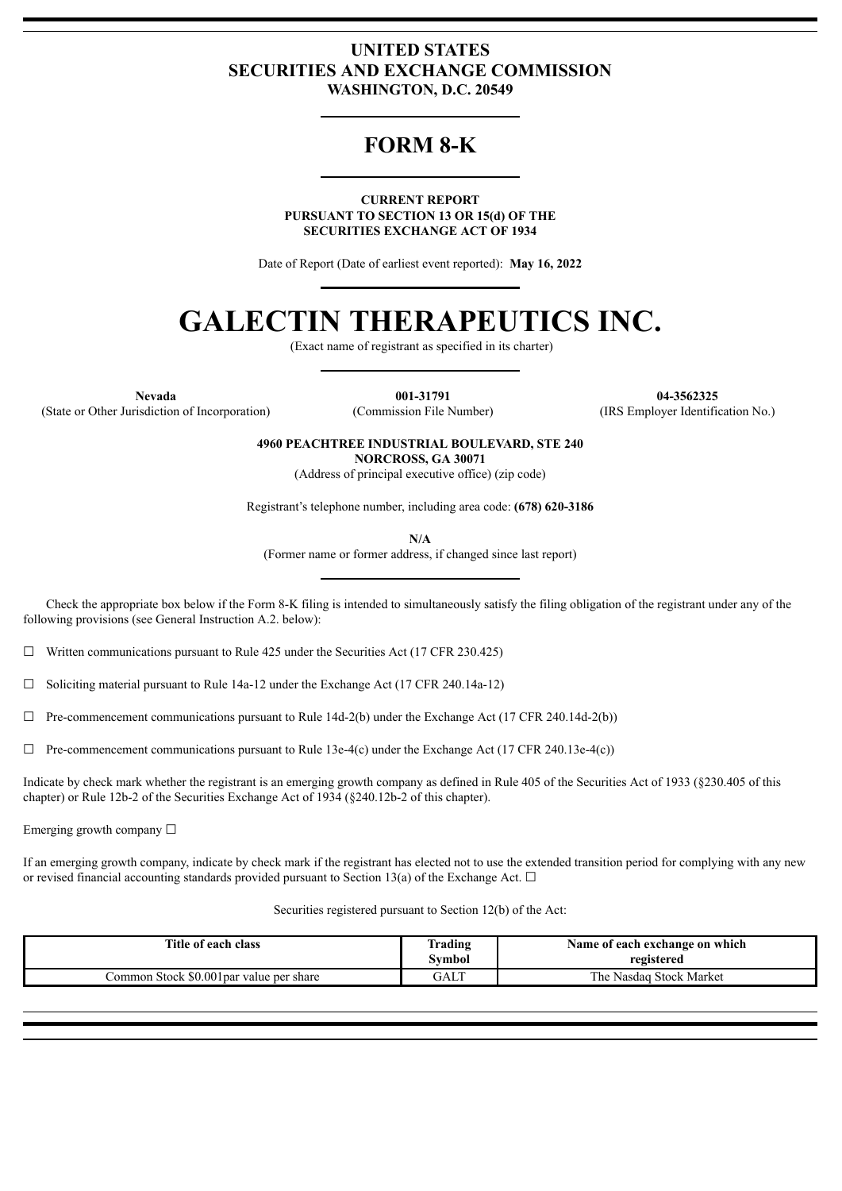## **UNITED STATES SECURITIES AND EXCHANGE COMMISSION WASHINGTON, D.C. 20549**

# **FORM 8-K**

**CURRENT REPORT PURSUANT TO SECTION 13 OR 15(d) OF THE SECURITIES EXCHANGE ACT OF 1934**

Date of Report (Date of earliest event reported): **May 16, 2022**

# **GALECTIN THERAPEUTICS INC.**

(Exact name of registrant as specified in its charter)

**Nevada 001-31791 04-3562325** (State or Other Jurisdiction of Incorporation) (Commission File Number) (IRS Employer Identification No.)

> **4960 PEACHTREE INDUSTRIAL BOULEVARD, STE 240 NORCROSS, GA 30071**

(Address of principal executive office) (zip code)

Registrant's telephone number, including area code: **(678) 620-3186**

**N/A**

(Former name or former address, if changed since last report)

Check the appropriate box below if the Form 8-K filing is intended to simultaneously satisfy the filing obligation of the registrant under any of the following provisions (see General Instruction A.2. below):

 $\Box$  Written communications pursuant to Rule 425 under the Securities Act (17 CFR 230.425)

 $\Box$  Soliciting material pursuant to Rule 14a-12 under the Exchange Act (17 CFR 240.14a-12)

 $\Box$  Pre-commencement communications pursuant to Rule 14d-2(b) under the Exchange Act (17 CFR 240.14d-2(b))

 $\Box$  Pre-commencement communications pursuant to Rule 13e-4(c) under the Exchange Act (17 CFR 240.13e-4(c))

Indicate by check mark whether the registrant is an emerging growth company as defined in Rule 405 of the Securities Act of 1933 (§230.405 of this chapter) or Rule 12b-2 of the Securities Exchange Act of 1934 (§240.12b-2 of this chapter).

Emerging growth company  $\Box$ 

If an emerging growth company, indicate by check mark if the registrant has elected not to use the extended transition period for complying with any new or revised financial accounting standards provided pursuant to Section 13(a) of the Exchange Act.  $\Box$ 

Securities registered pursuant to Section 12(b) of the Act:

| Title of each class                      | lrading<br>Svmbol | Name of each exchange on which<br>registered |
|------------------------------------------|-------------------|----------------------------------------------|
| Common Stock \$0.001 par value per share | GALT              | e Nasdag Stock Market<br>l'he.               |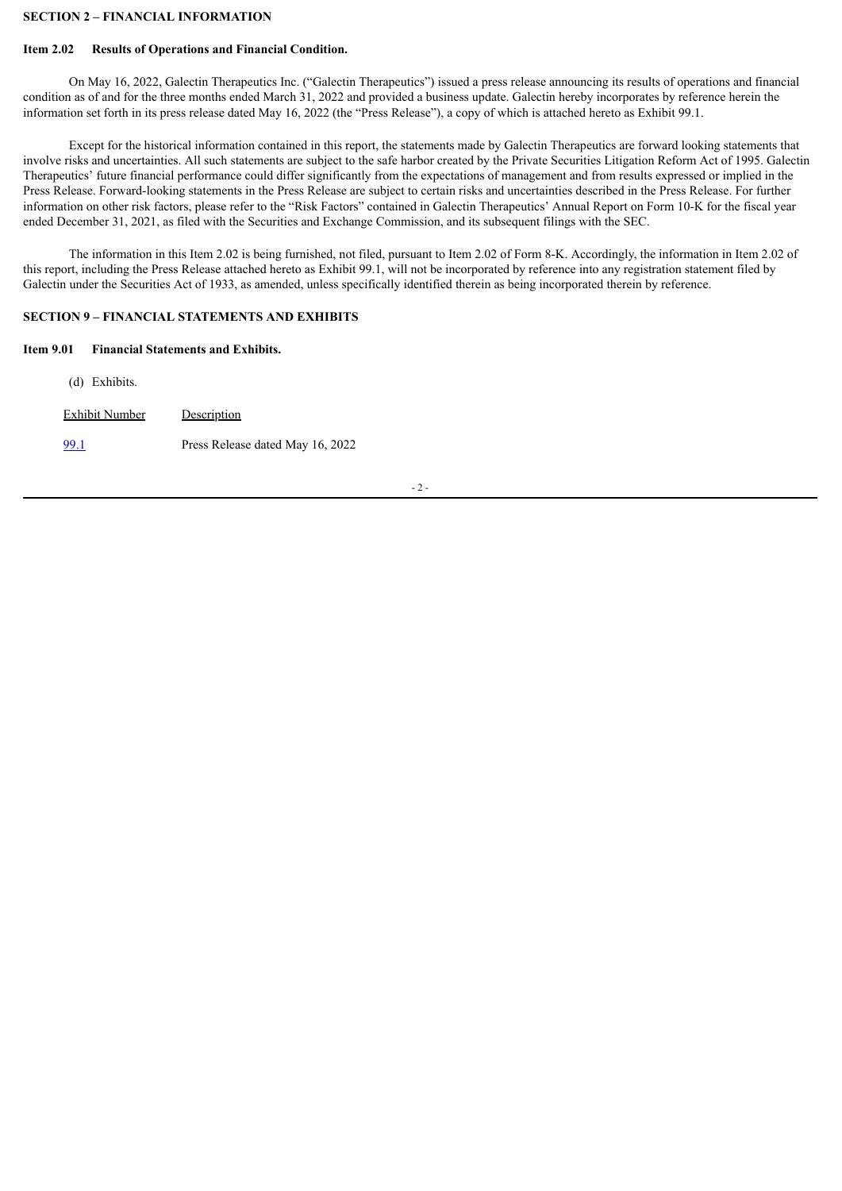#### **SECTION 2 – FINANCIAL INFORMATION**

#### **Item 2.02 Results of Operations and Financial Condition.**

On May 16, 2022, Galectin Therapeutics Inc. ("Galectin Therapeutics") issued a press release announcing its results of operations and financial condition as of and for the three months ended March 31, 2022 and provided a business update. Galectin hereby incorporates by reference herein the information set forth in its press release dated May 16, 2022 (the "Press Release"), a copy of which is attached hereto as Exhibit 99.1.

Except for the historical information contained in this report, the statements made by Galectin Therapeutics are forward looking statements that involve risks and uncertainties. All such statements are subject to the safe harbor created by the Private Securities Litigation Reform Act of 1995. Galectin Therapeutics' future financial performance could differ significantly from the expectations of management and from results expressed or implied in the Press Release. Forward-looking statements in the Press Release are subject to certain risks and uncertainties described in the Press Release. For further information on other risk factors, please refer to the "Risk Factors" contained in Galectin Therapeutics' Annual Report on Form 10-K for the fiscal year ended December 31, 2021, as filed with the Securities and Exchange Commission, and its subsequent filings with the SEC.

The information in this Item 2.02 is being furnished, not filed, pursuant to Item 2.02 of Form 8-K. Accordingly, the information in Item 2.02 of this report, including the Press Release attached hereto as Exhibit 99.1, will not be incorporated by reference into any registration statement filed by Galectin under the Securities Act of 1933, as amended, unless specifically identified therein as being incorporated therein by reference.

#### **SECTION 9 – FINANCIAL STATEMENTS AND EXHIBITS**

#### **Item 9.01 Financial Statements and Exhibits.**

| (d) Exhibits.  |                                  |
|----------------|----------------------------------|
| Exhibit Number | Description                      |
| 99.1           | Press Release dated May 16, 2022 |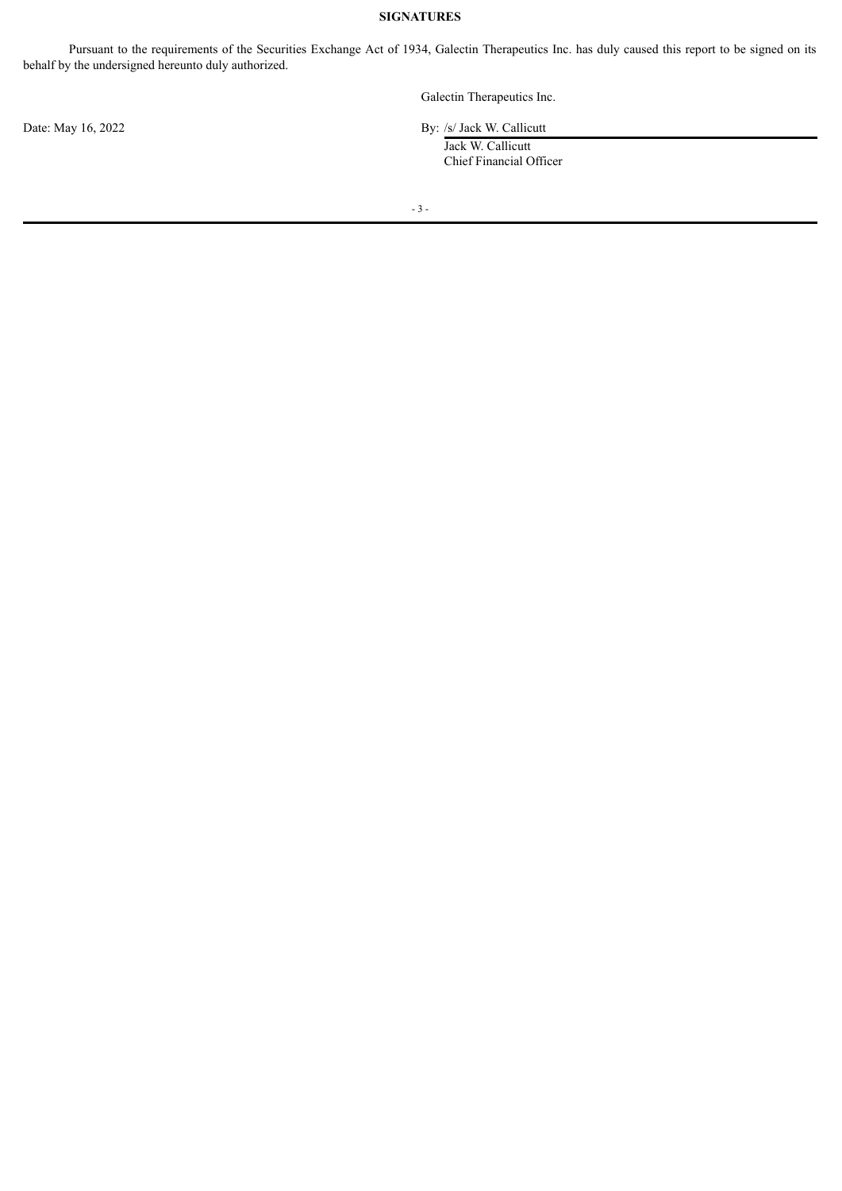### **SIGNATURES**

Pursuant to the requirements of the Securities Exchange Act of 1934, Galectin Therapeutics Inc. has duly caused this report to be signed on its behalf by the undersigned hereunto duly authorized.

Galectin Therapeutics Inc.

Date: May 16, 2022 By: /s/ Jack W. Callicutt

Jack W. Callicutt Chief Financial Officer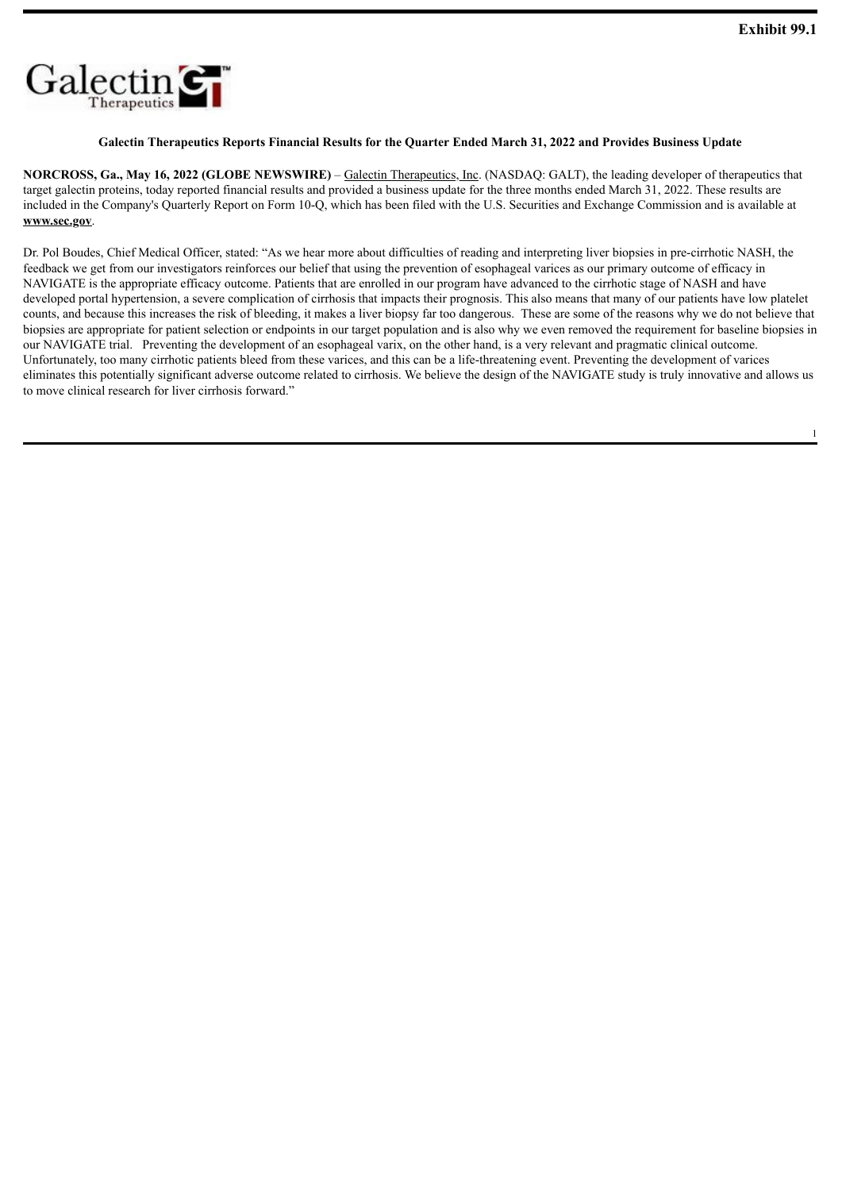1

<span id="page-3-0"></span>

#### Galectin Therapeutics Reports Financial Results for the Quarter Ended March 31, 2022 and Provides Business Update

**NORCROSS, Ga., May 16, 2022 (GLOBE NEWSWIRE)** – Galectin Therapeutics, Inc. (NASDAQ: GALT), the leading developer of therapeutics that target galectin proteins, today reported financial results and provided a business update for the three months ended March 31, 2022. These results are included in the Company's Quarterly Report on Form 10-Q, which has been filed with the U.S. Securities and Exchange Commission and is available at **www.sec.gov**.

Dr. Pol Boudes, Chief Medical Officer, stated: "As we hear more about difficulties of reading and interpreting liver biopsies in pre-cirrhotic NASH, the feedback we get from our investigators reinforces our belief that using the prevention of esophageal varices as our primary outcome of efficacy in NAVIGATE is the appropriate efficacy outcome. Patients that are enrolled in our program have advanced to the cirrhotic stage of NASH and have developed portal hypertension, a severe complication of cirrhosis that impacts their prognosis. This also means that many of our patients have low platelet counts, and because this increases the risk of bleeding, it makes a liver biopsy far too dangerous. These are some of the reasons why we do not believe that biopsies are appropriate for patient selection or endpoints in our target population and is also why we even removed the requirement for baseline biopsies in our NAVIGATE trial. Preventing the development of an esophageal varix, on the other hand, is a very relevant and pragmatic clinical outcome. Unfortunately, too many cirrhotic patients bleed from these varices, and this can be a life-threatening event. Preventing the development of varices eliminates this potentially significant adverse outcome related to cirrhosis. We believe the design of the NAVIGATE study is truly innovative and allows us to move clinical research for liver cirrhosis forward."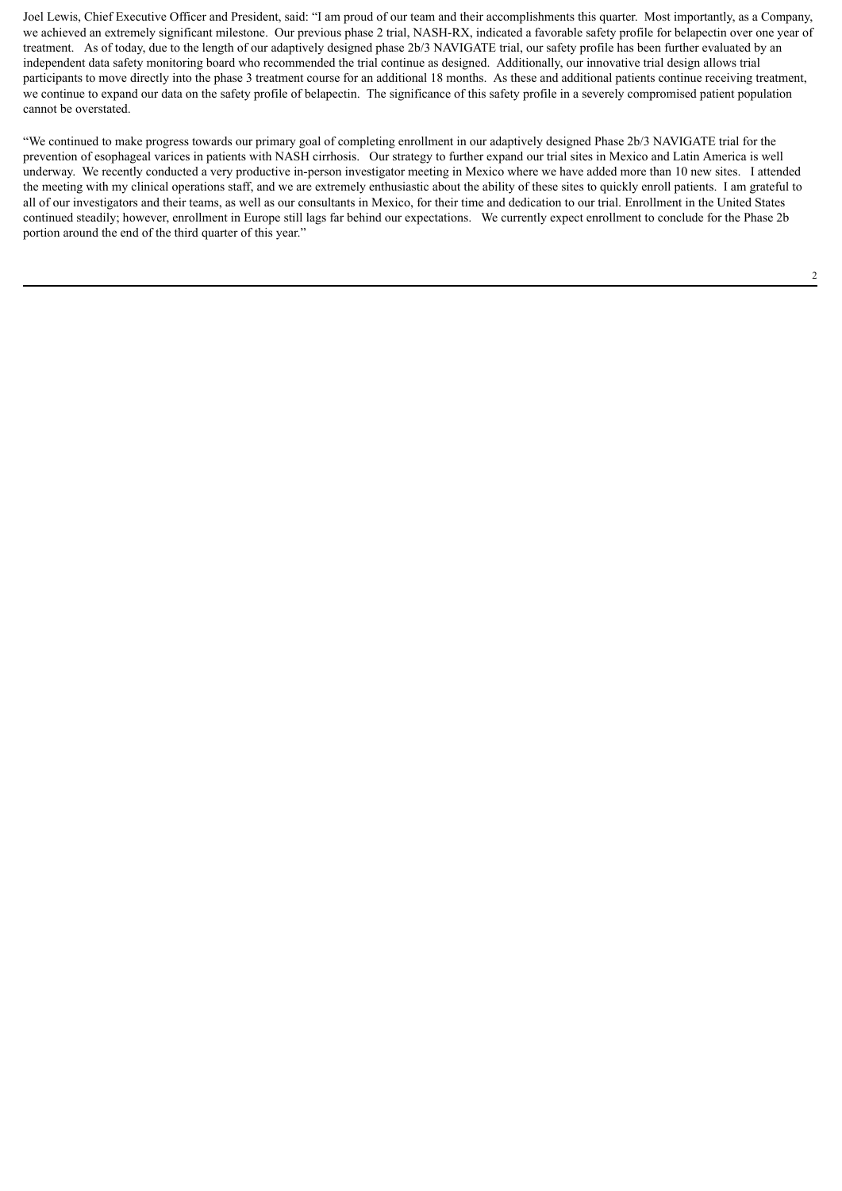Joel Lewis, Chief Executive Officer and President, said: "I am proud of our team and their accomplishments this quarter. Most importantly, as a Company, we achieved an extremely significant milestone. Our previous phase 2 trial, NASH-RX, indicated a favorable safety profile for belapectin over one year of treatment. As of today, due to the length of our adaptively designed phase 2b/3 NAVIGATE trial, our safety profile has been further evaluated by an independent data safety monitoring board who recommended the trial continue as designed. Additionally, our innovative trial design allows trial participants to move directly into the phase 3 treatment course for an additional 18 months. As these and additional patients continue receiving treatment, we continue to expand our data on the safety profile of belapectin. The significance of this safety profile in a severely compromised patient population cannot be overstated.

"We continued to make progress towards our primary goal of completing enrollment in our adaptively designed Phase 2b/3 NAVIGATE trial for the prevention of esophageal varices in patients with NASH cirrhosis. Our strategy to further expand our trial sites in Mexico and Latin America is well underway. We recently conducted a very productive in-person investigator meeting in Mexico where we have added more than 10 new sites. I attended the meeting with my clinical operations staff, and we are extremely enthusiastic about the ability of these sites to quickly enroll patients. I am grateful to all of our investigators and their teams, as well as our consultants in Mexico, for their time and dedication to our trial. Enrollment in the United States continued steadily; however, enrollment in Europe still lags far behind our expectations. We currently expect enrollment to conclude for the Phase 2b portion around the end of the third quarter of this year."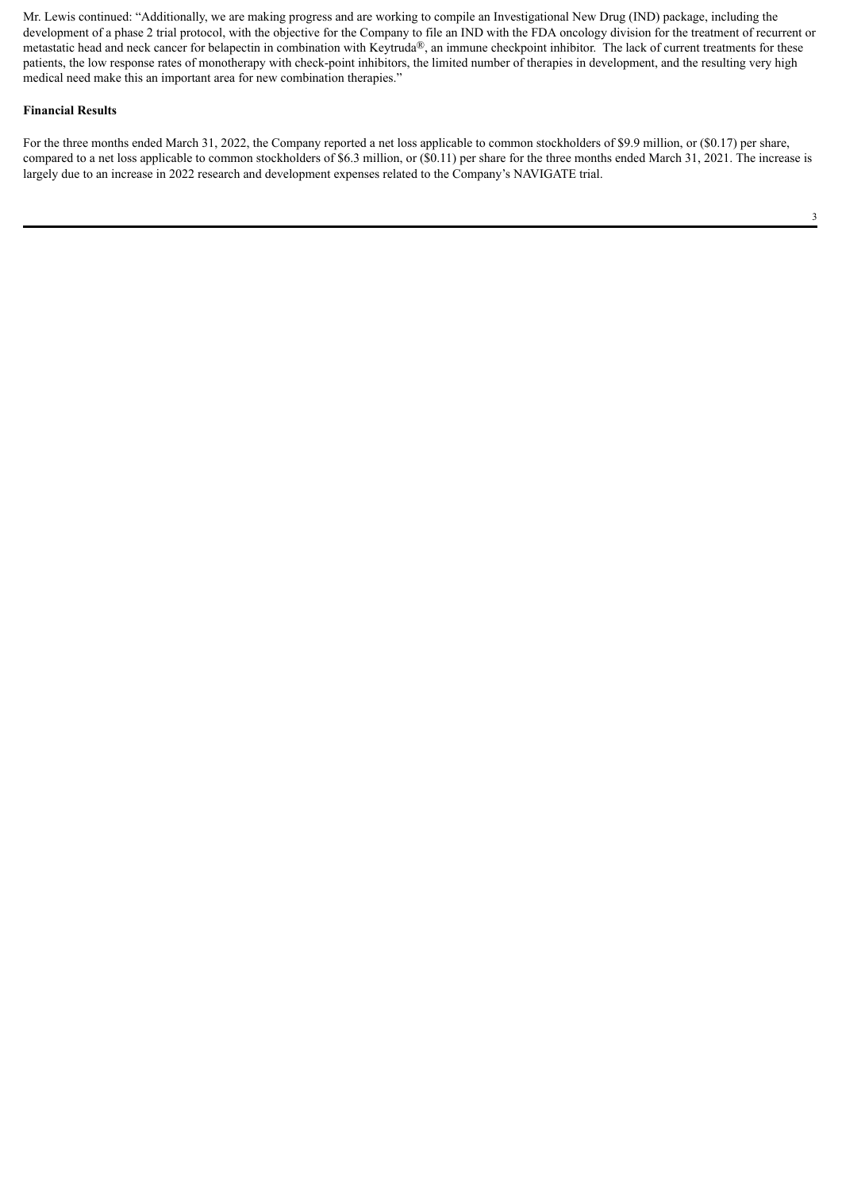Mr. Lewis continued: "Additionally, we are making progress and are working to compile an Investigational New Drug (IND) package, including the development of a phase 2 trial protocol, with the objective for the Company to file an IND with the FDA oncology division for the treatment of recurrent or metastatic head and neck cancer for belapectin in combination with Keytruda®, an immune checkpoint inhibitor. The lack of current treatments for these patients, the low response rates of monotherapy with check-point inhibitors, the limited number of therapies in development, and the resulting very high medical need make this an important area for new combination therapies."

#### **Financial Results**

For the three months ended March 31, 2022, the Company reported a net loss applicable to common stockholders of \$9.9 million, or (\$0.17) per share, compared to a net loss applicable to common stockholders of \$6.3 million, or (\$0.11) per share for the three months ended March 31, 2021. The increase is largely due to an increase in 2022 research and development expenses related to the Company's NAVIGATE trial.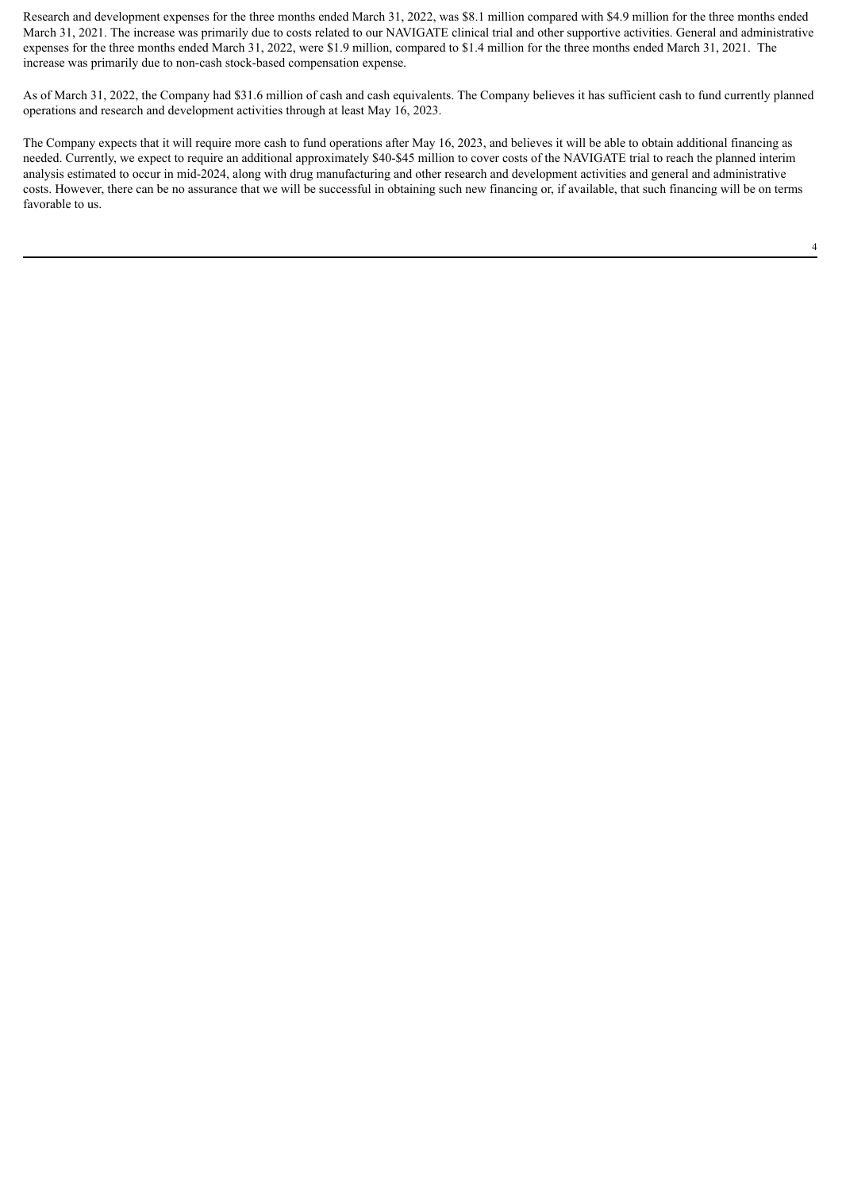Research and development expenses for the three months ended March 31, 2022, was \$8.1 million compared with \$4.9 million for the three months ended March 31, 2021. The increase was primarily due to costs related to our NAVIGATE clinical trial and other supportive activities. General and administrative expenses for the three months ended March 31, 2022, were \$1.9 million, compared to \$1.4 million for the three months ended March 31, 2021. The increase was primarily due to non-cash stock-based compensation expense.

As of March 31, 2022, the Company had \$31.6 million of cash and cash equivalents. The Company believes it has sufficient cash to fund currently planned operations and research and development activities through at least May 16, 2023.

The Company expects that it will require more cash to fund operations after May 16, 2023, and believes it will be able to obtain additional financing as needed. Currently, we expect to require an additional approximately \$40-\$45 million to cover costs of the NAVIGATE trial to reach the planned interim analysis estimated to occur in mid-2024, along with drug manufacturing and other research and development activities and general and administrative costs. However, there can be no assurance that we will be successful in obtaining such new financing or, if available, that such financing will be on terms favorable to us.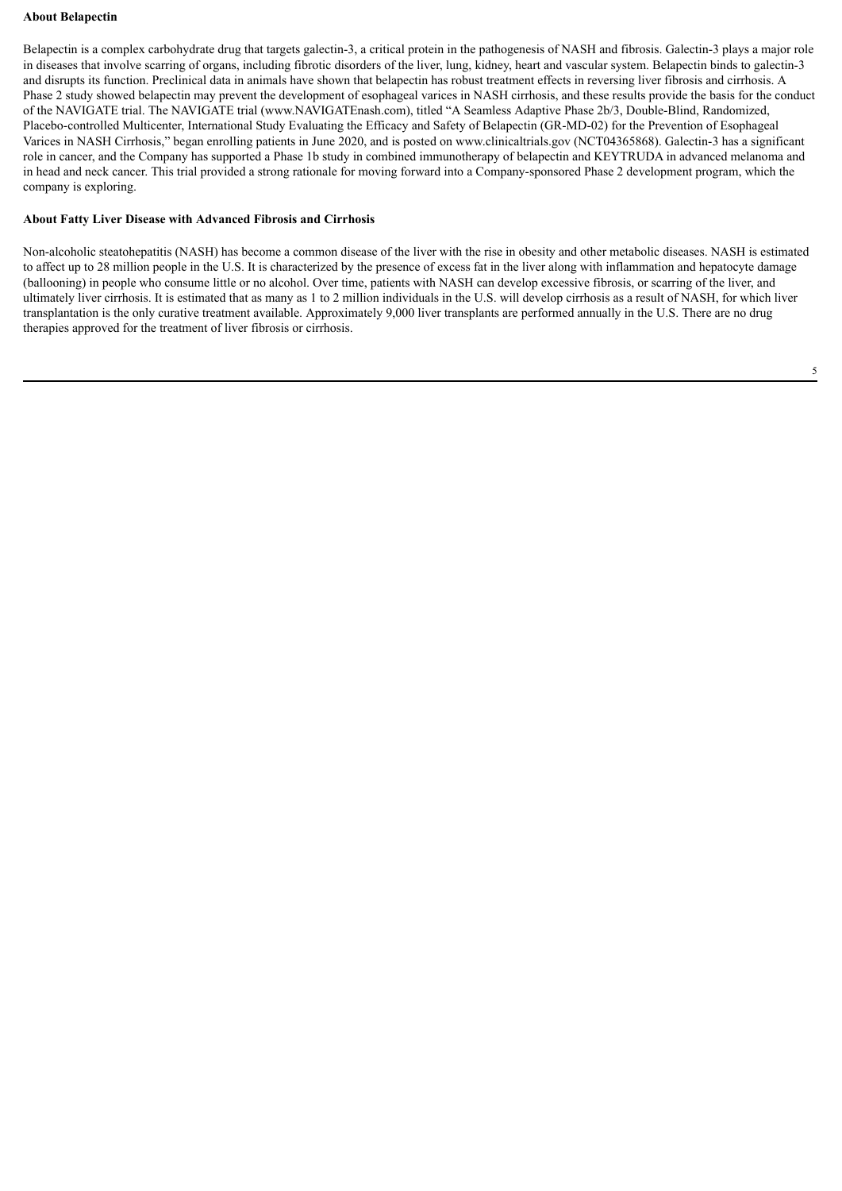#### **About Belapectin**

Belapectin is a complex carbohydrate drug that targets galectin-3, a critical protein in the pathogenesis of NASH and fibrosis. Galectin-3 plays a major role in diseases that involve scarring of organs, including fibrotic disorders of the liver, lung, kidney, heart and vascular system. Belapectin binds to galectin-3 and disrupts its function. Preclinical data in animals have shown that belapectin has robust treatment effects in reversing liver fibrosis and cirrhosis. A Phase 2 study showed belapectin may prevent the development of esophageal varices in NASH cirrhosis, and these results provide the basis for the conduct of the NAVIGATE trial. The NAVIGATE trial (www.NAVIGATEnash.com), titled "A Seamless Adaptive Phase 2b/3, Double-Blind, Randomized, Placebo-controlled Multicenter, International Study Evaluating the Efficacy and Safety of Belapectin (GR-MD-02) for the Prevention of Esophageal Varices in NASH Cirrhosis," began enrolling patients in June 2020, and is posted on www.clinicaltrials.gov (NCT04365868). Galectin-3 has a significant role in cancer, and the Company has supported a Phase 1b study in combined immunotherapy of belapectin and KEYTRUDA in advanced melanoma and in head and neck cancer. This trial provided a strong rationale for moving forward into a Company-sponsored Phase 2 development program, which the company is exploring.

#### **About Fatty Liver Disease with Advanced Fibrosis and Cirrhosis**

Non-alcoholic steatohepatitis (NASH) has become a common disease of the liver with the rise in obesity and other metabolic diseases. NASH is estimated to affect up to 28 million people in the U.S. It is characterized by the presence of excess fat in the liver along with inflammation and hepatocyte damage (ballooning) in people who consume little or no alcohol. Over time, patients with NASH can develop excessive fibrosis, or scarring of the liver, and ultimately liver cirrhosis. It is estimated that as many as 1 to 2 million individuals in the U.S. will develop cirrhosis as a result of NASH, for which liver transplantation is the only curative treatment available. Approximately 9,000 liver transplants are performed annually in the U.S. There are no drug therapies approved for the treatment of liver fibrosis or cirrhosis.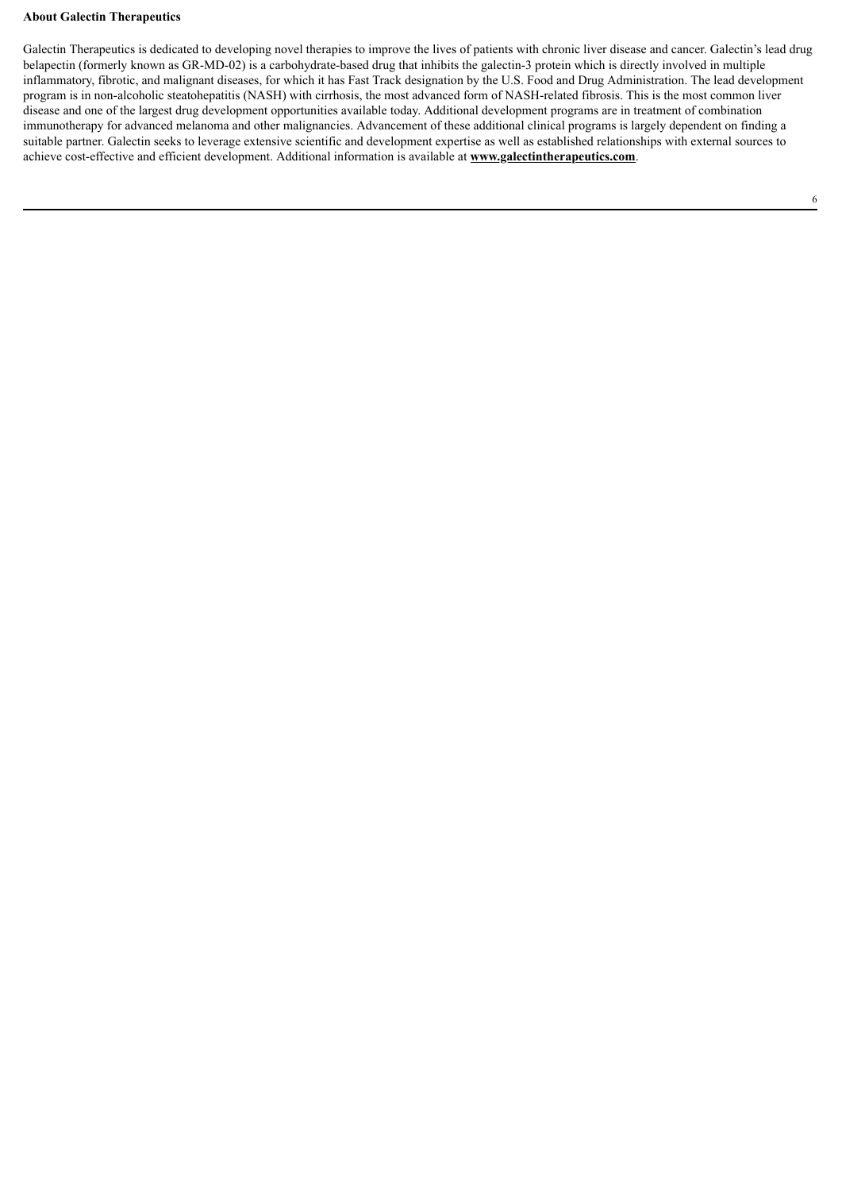#### **About Galectin Therapeutics**

Galectin Therapeutics is dedicated to developing novel therapies to improve the lives of patients with chronic liver disease and cancer. Galectin's lead drug belapectin (formerly known as GR-MD-02) is a carbohydrate-based drug that inhibits the galectin-3 protein which is directly involved in multiple inflammatory, fibrotic, and malignant diseases, for which it has Fast Track designation by the U.S. Food and Drug Administration. The lead development program is in non-alcoholic steatohepatitis (NASH) with cirrhosis, the most advanced form of NASH-related fibrosis. This is the most common liver disease and one of the largest drug development opportunities available today. Additional development programs are in treatment of combination immunotherapy for advanced melanoma and other malignancies. Advancement of these additional clinical programs is largely dependent on finding a suitable partner. Galectin seeks to leverage extensive scientific and development expertise as well as established relationships with external sources to achieve cost-effective and efficient development. Additional information is available at **www.galectintherapeutics.com**.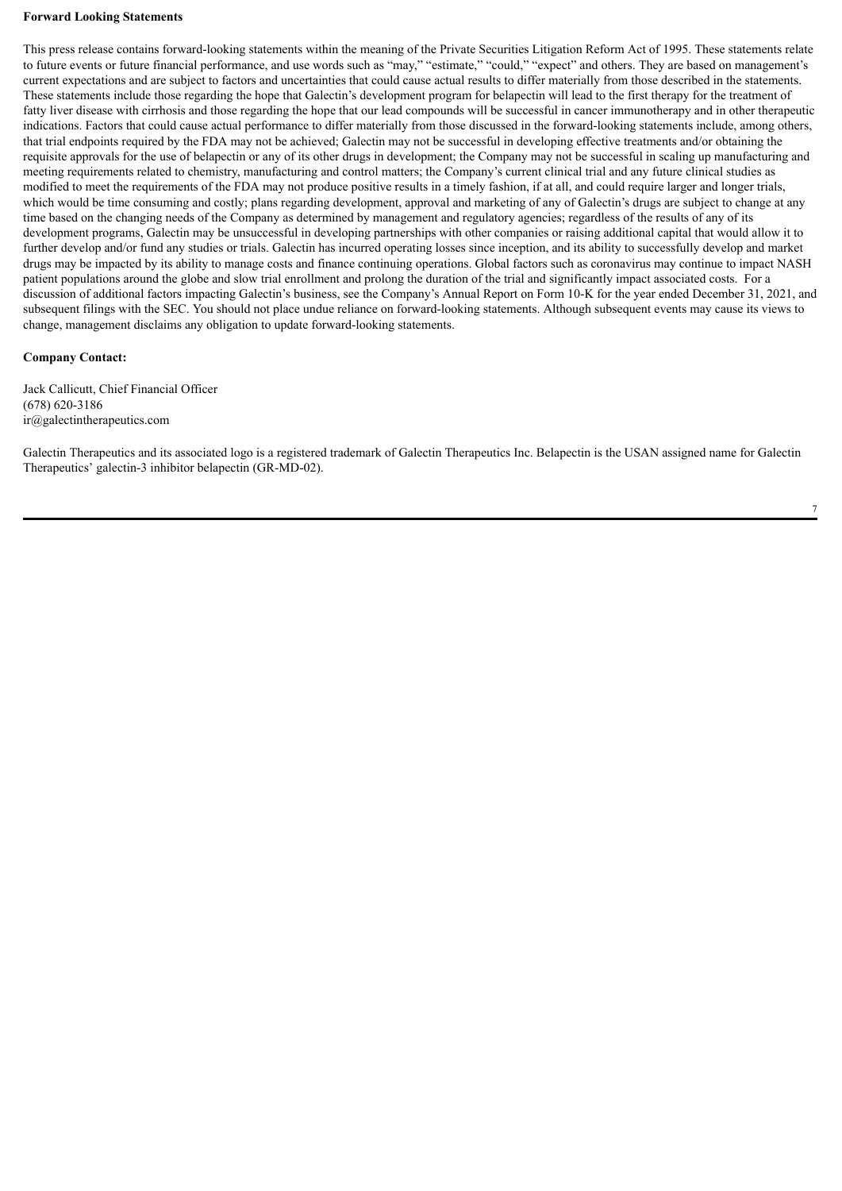#### **Forward Looking Statements**

This press release contains forward-looking statements within the meaning of the Private Securities Litigation Reform Act of 1995. These statements relate to future events or future financial performance, and use words such as "may," "estimate," "could," "expect" and others. They are based on management's current expectations and are subject to factors and uncertainties that could cause actual results to differ materially from those described in the statements. These statements include those regarding the hope that Galectin's development program for belapectin will lead to the first therapy for the treatment of fatty liver disease with cirrhosis and those regarding the hope that our lead compounds will be successful in cancer immunotherapy and in other therapeutic indications. Factors that could cause actual performance to differ materially from those discussed in the forward-looking statements include, among others, that trial endpoints required by the FDA may not be achieved; Galectin may not be successful in developing effective treatments and/or obtaining the requisite approvals for the use of belapectin or any of its other drugs in development; the Company may not be successful in scaling up manufacturing and meeting requirements related to chemistry, manufacturing and control matters; the Company's current clinical trial and any future clinical studies as modified to meet the requirements of the FDA may not produce positive results in a timely fashion, if at all, and could require larger and longer trials, which would be time consuming and costly; plans regarding development, approval and marketing of any of Galectin's drugs are subject to change at any time based on the changing needs of the Company as determined by management and regulatory agencies; regardless of the results of any of its development programs, Galectin may be unsuccessful in developing partnerships with other companies or raising additional capital that would allow it to further develop and/or fund any studies or trials. Galectin has incurred operating losses since inception, and its ability to successfully develop and market drugs may be impacted by its ability to manage costs and finance continuing operations. Global factors such as coronavirus may continue to impact NASH patient populations around the globe and slow trial enrollment and prolong the duration of the trial and significantly impact associated costs. For a discussion of additional factors impacting Galectin's business, see the Company's Annual Report on Form 10-K for the year ended December 31, 2021, and subsequent filings with the SEC. You should not place undue reliance on forward-looking statements. Although subsequent events may cause its views to change, management disclaims any obligation to update forward-looking statements.

#### **Company Contact:**

Jack Callicutt, Chief Financial Officer (678) 620-3186 ir@galectintherapeutics.com

Galectin Therapeutics and its associated logo is a registered trademark of Galectin Therapeutics Inc. Belapectin is the USAN assigned name for Galectin Therapeutics' galectin-3 inhibitor belapectin (GR-MD-02).